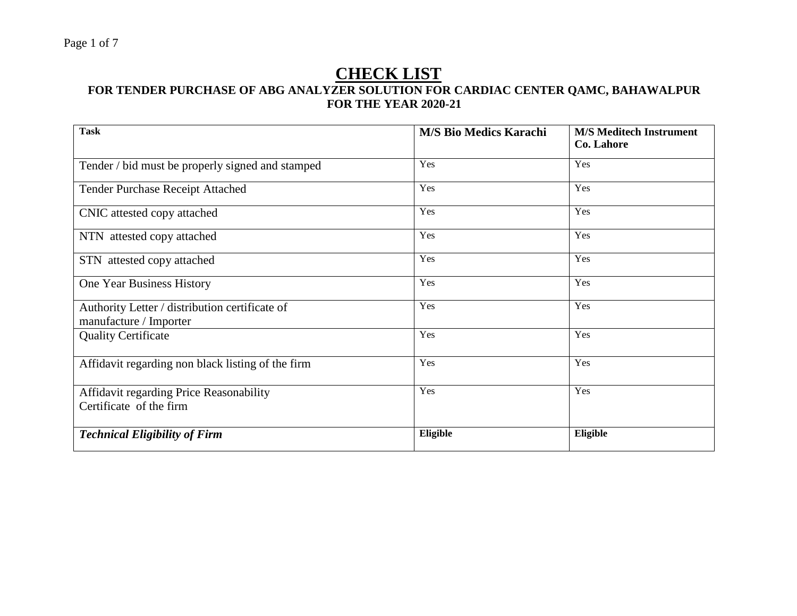# **CHECK LIST**

#### **FOR TENDER PURCHASE OF ABG ANALYZER SOLUTION FOR CARDIAC CENTER QAMC, BAHAWALPUR FOR THE YEAR 2020-21**

| <b>Task</b>                                                              | <b>M/S Bio Medics Karachi</b> | <b>M/S Meditech Instrument</b><br>Co. Lahore |
|--------------------------------------------------------------------------|-------------------------------|----------------------------------------------|
| Tender / bid must be properly signed and stamped                         | Yes                           | Yes                                          |
| Tender Purchase Receipt Attached                                         | Yes                           | Yes                                          |
| CNIC attested copy attached                                              | Yes                           | Yes                                          |
| NTN attested copy attached                                               | Yes                           | Yes                                          |
| STN attested copy attached                                               | Yes                           | Yes                                          |
| One Year Business History                                                | Yes                           | Yes                                          |
| Authority Letter / distribution certificate of<br>manufacture / Importer | Yes                           | Yes                                          |
| <b>Quality Certificate</b>                                               | Yes                           | Yes                                          |
| Affidavit regarding non black listing of the firm                        | Yes                           | Yes                                          |
| Affidavit regarding Price Reasonability<br>Certificate of the firm       | Yes                           | Yes                                          |
| <b>Technical Eligibility of Firm</b>                                     | Eligible                      | Eligible                                     |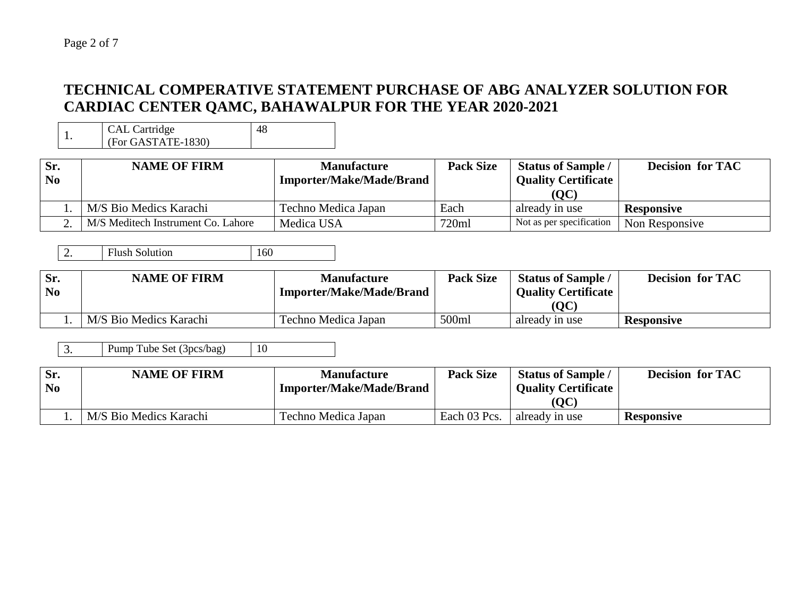### **TECHNICAL COMPERATIVE STATEMENT PURCHASE OF ABG ANALYZER SOLUTION FOR CARDIAC CENTER QAMC, BAHAWALPUR FOR THE YEAR 2020-2021**

1. CAL Cartridge (For GASTATE-1830)

| Sr.<br>N <sub>0</sub> | <b>NAME OF FIRM</b>                | <b>Manufacture</b><br><b>Importer/Make/Made/Brand</b> | <b>Pack Size</b> | <b>Status of Sample /</b><br><b>Quality Certificate</b><br>(QC) | <b>Decision for TAC</b> |
|-----------------------|------------------------------------|-------------------------------------------------------|------------------|-----------------------------------------------------------------|-------------------------|
|                       | M/S Bio Medics Karachi             | Techno Medica Japan                                   | Each             | already in use                                                  | <b>Responsive</b>       |
|                       | M/S Meditech Instrument Co. Lahore | Medica USA                                            | 720ml            | Not as per specification                                        | Non Responsive          |

48

| Sr.<br>N <sub>0</sub> | <b>NAME OF FIRM</b>    | <b>Manufacture</b><br><b>Importer/Make/Made/Brand</b> | <b>Pack Size</b> | <b>Status of Sample</b><br><b>Quality Certificate</b><br>(OC) | <b>Decision for TAC</b> |
|-----------------------|------------------------|-------------------------------------------------------|------------------|---------------------------------------------------------------|-------------------------|
|                       | M/S Bio Medics Karachi | Techno Medica Japan                                   | 500ml            | already in use                                                | <b>Responsive</b>       |

3. Pump Tube Set (3pcs/bag) 10

| Sr.            | <b>NAME OF FIRM</b>    | <b>Manufacture</b>              | <b>Pack Size</b> | <b>Status of Sample</b>    | <b>Decision for TAC</b> |
|----------------|------------------------|---------------------------------|------------------|----------------------------|-------------------------|
| N <sub>0</sub> |                        | <b>Importer/Make/Made/Brand</b> |                  | <b>Quality Certificate</b> |                         |
|                |                        |                                 |                  | (OC)                       |                         |
|                | M/S Bio Medics Karachi | Techno Medica Japan             | Each 03 Pcs.     | already in use             | <b>Responsive</b>       |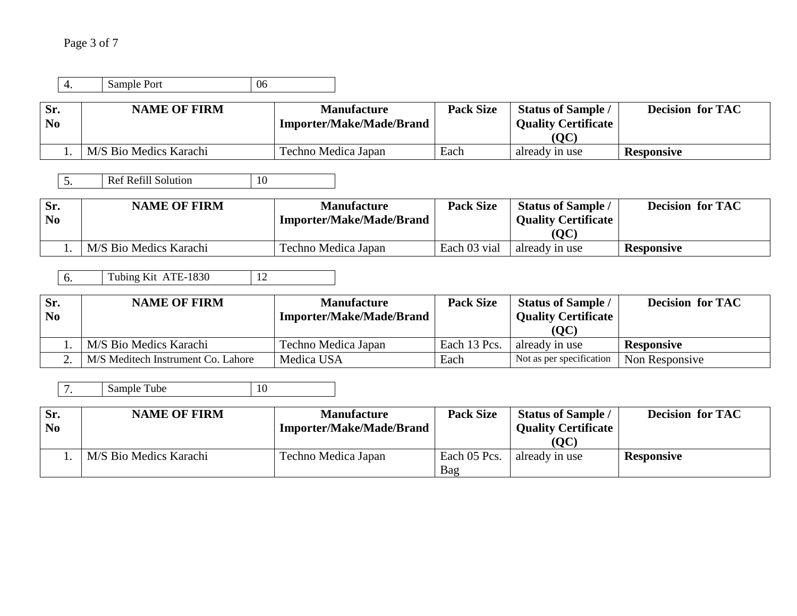| 4.                                        | Sample Port<br>06                                |                                                       |                  |                                                                 |                         |
|-------------------------------------------|--------------------------------------------------|-------------------------------------------------------|------------------|-----------------------------------------------------------------|-------------------------|
| Sr.<br>N <sub>0</sub>                     | <b>NAME OF FIRM</b>                              | <b>Manufacture</b><br><b>Importer/Make/Made/Brand</b> | <b>Pack Size</b> | <b>Status of Sample /</b><br><b>Quality Certificate</b><br>(QC) | <b>Decision for TAC</b> |
| 1.                                        | M/S Bio Medics Karachi                           | Techno Medica Japan                                   | Each             | already in use                                                  | <b>Responsive</b>       |
| 5.                                        | <b>Ref Refill Solution</b><br>10                 |                                                       |                  |                                                                 |                         |
| Sr.<br>N <sub>0</sub>                     | <b>NAME OF FIRM</b>                              | <b>Manufacture</b><br><b>Importer/Make/Made/Brand</b> | <b>Pack Size</b> | <b>Status of Sample /</b><br><b>Quality Certificate</b><br>(QC) | <b>Decision for TAC</b> |
| 1.                                        | M/S Bio Medics Karachi                           | Techno Medica Japan                                   | Each 03 vial     | already in use                                                  | <b>Responsive</b>       |
|                                           |                                                  |                                                       |                  |                                                                 |                         |
| 6.                                        | Tubing Kit ATE-1830<br>12<br><b>NAME OF FIRM</b> | <b>Manufacture</b>                                    | <b>Pack Size</b> |                                                                 | <b>Decision for TAC</b> |
|                                           |                                                  | <b>Importer/Make/Made/Brand</b>                       |                  | <b>Status of Sample /</b><br><b>Quality Certificate</b>         |                         |
| 1.                                        | M/S Bio Medics Karachi                           | Techno Medica Japan                                   | Each 13 Pcs.     | (QC)<br>already in use                                          | <b>Responsive</b>       |
| Sr.<br>N <sub>0</sub><br>$\overline{2}$ . | M/S Meditech Instrument Co. Lahore               | Medica USA                                            | Each             | Not as per specification                                        | Non Responsive          |
| 7.                                        | 10<br>Sample Tube                                |                                                       |                  |                                                                 |                         |
| Sr.<br>N <sub>0</sub>                     | <b>NAME OF FIRM</b>                              | <b>Manufacture</b><br><b>Importer/Make/Made/Brand</b> | <b>Pack Size</b> | <b>Status of Sample /</b><br><b>Quality Certificate</b><br>(QC) | <b>Decision for TAC</b> |

Bag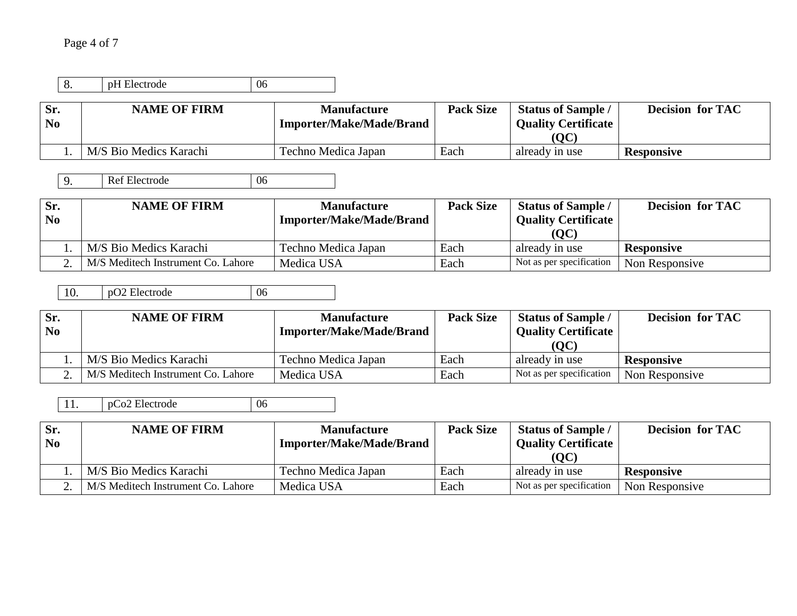## Page 4 of 7

| о.                    | pH Electrode           | 06                                                    |                  |                                                                 |                         |
|-----------------------|------------------------|-------------------------------------------------------|------------------|-----------------------------------------------------------------|-------------------------|
| Sr.<br>N <sub>0</sub> | <b>NAME OF FIRM</b>    | <b>Manufacture</b><br><b>Importer/Make/Made/Brand</b> | <b>Pack Size</b> | <b>Status of Sample /</b><br><b>Quality Certificate</b><br>(QC) | <b>Decision for TAC</b> |
|                       | M/S Bio Medics Karachi | Techno Medica Japan                                   | Each             | already in use                                                  | <b>Responsive</b>       |

9. Ref Electrode 06

| Sr.<br>N <sub>0</sub> | <b>NAME OF FIRM</b>                | <b>Manufacture</b><br><b>Importer/Make/Made/Brand</b> | <b>Pack Size</b> | <b>Status of Sample /</b><br><b>Quality Certificate</b><br>(QC) | <b>Decision for TAC</b> |
|-----------------------|------------------------------------|-------------------------------------------------------|------------------|-----------------------------------------------------------------|-------------------------|
|                       | M/S Bio Medics Karachi             | Techno Medica Japan                                   | Each             | already in use                                                  | <b>Responsive</b>       |
|                       | M/S Meditech Instrument Co. Lahore | Medica USA                                            | Each             | Not as per specification                                        | Non Responsive          |

10. pO2 Electrode 06

| Sr.            | <b>NAME OF FIRM</b>                | <b>Manufacture</b>              | <b>Pack Size</b> | <b>Status of Sample /</b>  | <b>Decision for TAC</b> |
|----------------|------------------------------------|---------------------------------|------------------|----------------------------|-------------------------|
| $\mathbf{N_0}$ |                                    | <b>Importer/Make/Made/Brand</b> |                  | <b>Quality Certificate</b> |                         |
|                |                                    |                                 |                  | (QC)                       |                         |
|                | M/S Bio Medics Karachi             | Techno Medica Japan             | Each             | already in use             | <b>Responsive</b>       |
|                | M/S Meditech Instrument Co. Lahore | Medica USA                      | Each             | Not as per specification   | Non Responsive          |

11. pCo2 Electrode 06

| Sr.            | <b>NAME OF FIRM</b>                | <b>Manufacture</b>              | <b>Pack Size</b> | <b>Status of Sample /</b>  | <b>Decision for TAC</b> |
|----------------|------------------------------------|---------------------------------|------------------|----------------------------|-------------------------|
| N <sub>0</sub> |                                    | <b>Importer/Make/Made/Brand</b> |                  | <b>Quality Certificate</b> |                         |
|                |                                    |                                 |                  | (QC)                       |                         |
|                | M/S Bio Medics Karachi             | Techno Medica Japan             | Each             | already in use             | <b>Responsive</b>       |
|                | M/S Meditech Instrument Co. Lahore | Medica USA                      | Each             | Not as per specification   | Non Responsive          |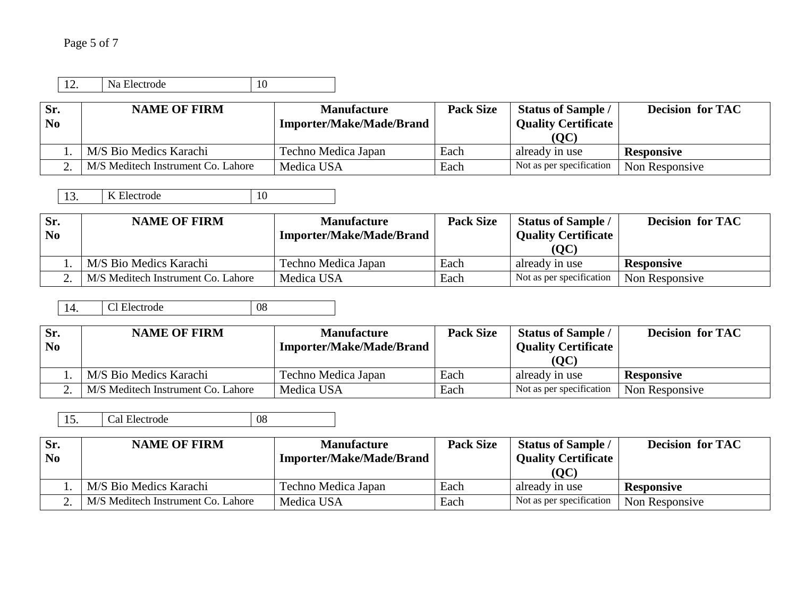| N<br>Electrode | ◡<br><b>.</b> |
|----------------|---------------|

| Sr.<br>N <sub>0</sub> | <b>NAME OF FIRM</b>                | <b>Manufacture</b><br><b>Importer/Make/Made/Brand</b> | <b>Pack Size</b> | <b>Status of Sample /</b><br><b>Quality Certificate</b><br>(QC) | <b>Decision for TAC</b> |
|-----------------------|------------------------------------|-------------------------------------------------------|------------------|-----------------------------------------------------------------|-------------------------|
|                       | M/S Bio Medics Karachi             | Techno Medica Japan                                   | Each             | already in use                                                  | <b>Responsive</b>       |
|                       | M/S Meditech Instrument Co. Lahore | Medica USA                                            | Each             | Not as per specification                                        | Non Responsive          |

13. K Electrode 10

| Sr.<br>N <sub>0</sub> | <b>NAME OF FIRM</b>                | <b>Manufacture</b><br><b>Importer/Make/Made/Brand</b> | <b>Pack Size</b> | <b>Status of Sample /</b><br><b>Quality Certificate</b><br>(QC) | <b>Decision for TAC</b> |
|-----------------------|------------------------------------|-------------------------------------------------------|------------------|-----------------------------------------------------------------|-------------------------|
|                       | M/S Bio Medics Karachi             | Techno Medica Japan                                   | Each             | already in use                                                  | <b>Responsive</b>       |
|                       | M/S Meditech Instrument Co. Lahore | Medica USA                                            | Each             | Not as per specification                                        | Non Responsive          |

14. Cl Electrode 08

| Sr.<br>N <sub>0</sub> | <b>NAME OF FIRM</b>                | <b>Manufacture</b><br><b>Importer/Make/Made/Brand</b> | <b>Pack Size</b> | <b>Status of Sample /</b><br><b>Quality Certificate</b> | <b>Decision for TAC</b> |
|-----------------------|------------------------------------|-------------------------------------------------------|------------------|---------------------------------------------------------|-------------------------|
|                       | M/S Bio Medics Karachi             | Techno Medica Japan                                   | Each             | (OC)<br>already in use                                  | <b>Responsive</b>       |
|                       | M/S Meditech Instrument Co. Lahore | Medica USA                                            | Each             | Not as per specification                                | Non Responsive          |

15. Cal Electrode 08

| Sr.            | <b>NAME OF FIRM</b>                | <b>Manufacture</b>              | <b>Pack Size</b> | <b>Status of Sample /</b>  | <b>Decision for TAC</b> |
|----------------|------------------------------------|---------------------------------|------------------|----------------------------|-------------------------|
| N <sub>0</sub> |                                    | <b>Importer/Make/Made/Brand</b> |                  | <b>Quality Certificate</b> |                         |
|                |                                    |                                 |                  | (QC)                       |                         |
|                | M/S Bio Medics Karachi             | Techno Medica Japan             | Each             | already in use             | <b>Responsive</b>       |
|                | M/S Meditech Instrument Co. Lahore | Medica USA                      | Each             | Not as per specification   | Non Responsive          |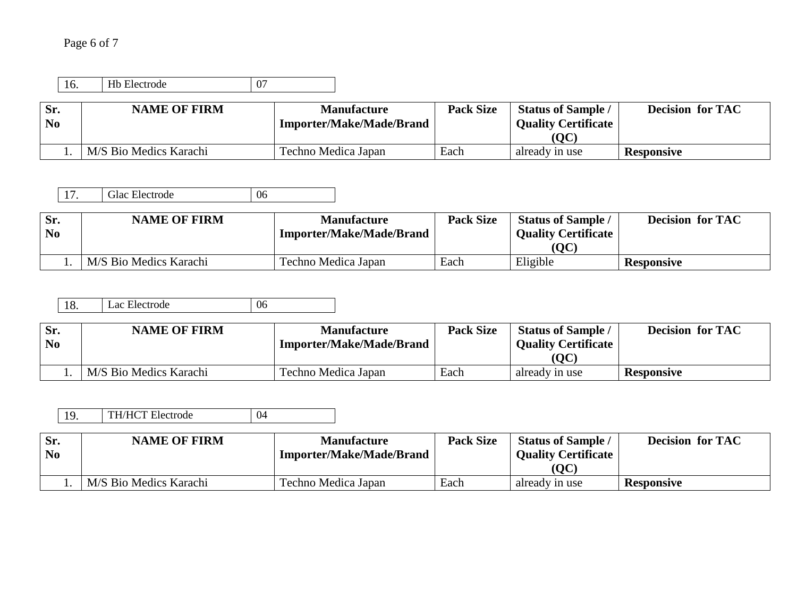# Page 6 of 7

| Electrode<br> | ັ |
|---------------|---|

| Sr.<br>N <sub>0</sub> | <b>NAME OF FIRM</b>    | <b>Manufacture</b><br><b>Importer/Make/Made/Brand</b> | <b>Pack Size</b> | <b>Status of Sample</b><br><b>Quality Certificate</b> | <b>Decision for TAC</b> |
|-----------------------|------------------------|-------------------------------------------------------|------------------|-------------------------------------------------------|-------------------------|
|                       |                        |                                                       |                  | (OC)                                                  |                         |
|                       | M/S Bio Medics Karachi | Techno Medica Japan                                   | Each             | already in use                                        | <b>Responsive</b>       |

17. Glac Electrode 06

| Sr.            | <b>NAME OF FIRM</b>    | <b>Manufacture</b>       | <b>Pack Size</b> | <b>Status of Sample</b>    | <b>Decision for TAC</b> |
|----------------|------------------------|--------------------------|------------------|----------------------------|-------------------------|
| N <sub>0</sub> |                        | Importer/Make/Made/Brand |                  | <b>Quality Certificate</b> |                         |
|                |                        |                          |                  | OC                         |                         |
|                | M/S Bio Medics Karachi | Techno Medica Japan      | Each             | Eligible                   | <b>Responsive</b>       |

| Lac Electrode<br>$\vert$ 18. | 06 |
|------------------------------|----|
|------------------------------|----|

| Sr.            | <b>NAME OF FIRM</b>    | <b>Manufacture</b>              | <b>Pack Size</b> | <b>Status of Sample</b>    | <b>Decision for TAC</b> |
|----------------|------------------------|---------------------------------|------------------|----------------------------|-------------------------|
| N <sub>0</sub> |                        | <b>Importer/Make/Made/Brand</b> |                  | <b>Quality Certificate</b> |                         |
|                |                        |                                 |                  | OC                         |                         |
|                | M/S Bio Medics Karachi | Techno Medica Japan             | Each             | already in use             | <b>Responsive</b>       |

| <b>TH/HCT Electrode</b><br>10 |
|-------------------------------|
|-------------------------------|

| Sr.            | <b>NAME OF FIRM</b>    | <b>Manufacture</b>              | <b>Pack Size</b> | <b>Status of Sample</b>    | <b>Decision for TAC</b> |
|----------------|------------------------|---------------------------------|------------------|----------------------------|-------------------------|
| N <sub>0</sub> |                        | <b>Importer/Make/Made/Brand</b> |                  | <b>Ouality Certificate</b> |                         |
|                |                        |                                 |                  | ( <b>OC</b> )              |                         |
|                | M/S Bio Medics Karachi | Techno Medica Japan             | Each             | already in use             | <b>Responsive</b>       |